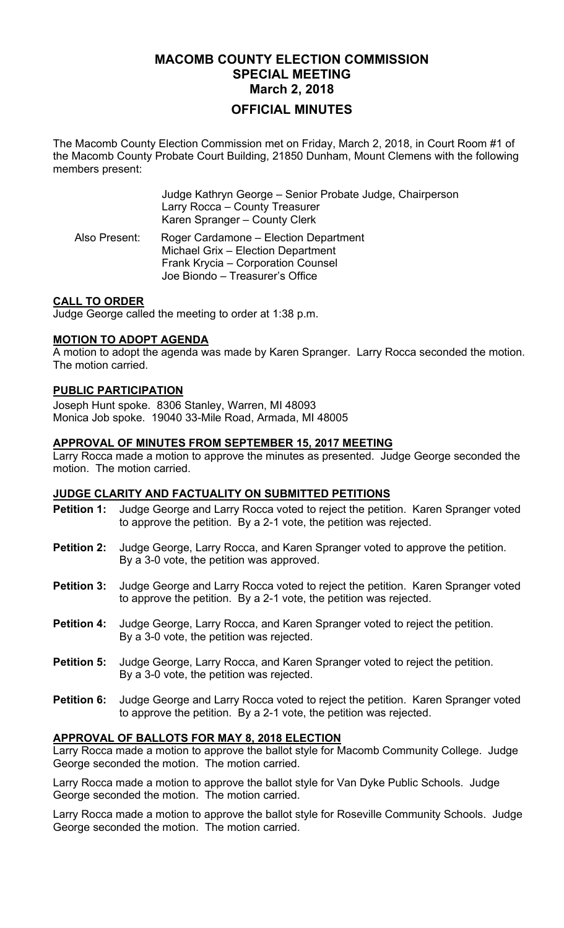# **MACOMB COUNTY ELECTION COMMISSION SPECIAL MEETING March 2, 2018 OFFICIAL MINUTES**

The Macomb County Election Commission met on Friday, March 2, 2018, in Court Room #1 of the Macomb County Probate Court Building, 21850 Dunham, Mount Clemens with the following members present:

|               | Judge Kathryn George - Senior Probate Judge, Chairperson<br>Larry Rocca - County Treasurer<br>Karen Spranger - County Clerk                          |
|---------------|------------------------------------------------------------------------------------------------------------------------------------------------------|
| Also Present: | Roger Cardamone - Election Department<br>Michael Grix - Election Department<br>Frank Krycia - Corporation Counsel<br>Joe Biondo - Treasurer's Office |

# **CALL TO ORDER**

Judge George called the meeting to order at 1:38 p.m.

## **MOTION TO ADOPT AGENDA**

A motion to adopt the agenda was made by Karen Spranger. Larry Rocca seconded the motion. The motion carried.

## **PUBLIC PARTICIPATION**

Joseph Hunt spoke. 8306 Stanley, Warren, MI 48093 Monica Job spoke. 19040 33-Mile Road, Armada, MI 48005

#### **APPROVAL OF MINUTES FROM SEPTEMBER 15, 2017 MEETING**

Larry Rocca made a motion to approve the minutes as presented. Judge George seconded the motion. The motion carried.

#### **JUDGE CLARITY AND FACTUALITY ON SUBMITTED PETITIONS**

- **Petition 1:** Judge George and Larry Rocca voted to reject the petition. Karen Spranger voted to approve the petition. By a 2-1 vote, the petition was rejected.
- **Petition 2:** Judge George, Larry Rocca, and Karen Spranger voted to approve the petition. By a 3-0 vote, the petition was approved.
- **Petition 3:** Judge George and Larry Rocca voted to reject the petition. Karen Spranger voted to approve the petition. By a 2-1 vote, the petition was rejected.
- **Petition 4:** Judge George, Larry Rocca, and Karen Spranger voted to reject the petition. By a 3-0 vote, the petition was rejected.
- **Petition 5:** Judge George, Larry Rocca, and Karen Spranger voted to reject the petition. By a 3-0 vote, the petition was rejected.
- **Petition 6:** Judge George and Larry Rocca voted to reject the petition. Karen Spranger voted to approve the petition. By a 2-1 vote, the petition was rejected.

#### **APPROVAL OF BALLOTS FOR MAY 8, 2018 ELECTION**

Larry Rocca made a motion to approve the ballot style for Macomb Community College. Judge George seconded the motion. The motion carried.

Larry Rocca made a motion to approve the ballot style for Van Dyke Public Schools. Judge George seconded the motion. The motion carried.

Larry Rocca made a motion to approve the ballot style for Roseville Community Schools. Judge George seconded the motion. The motion carried.